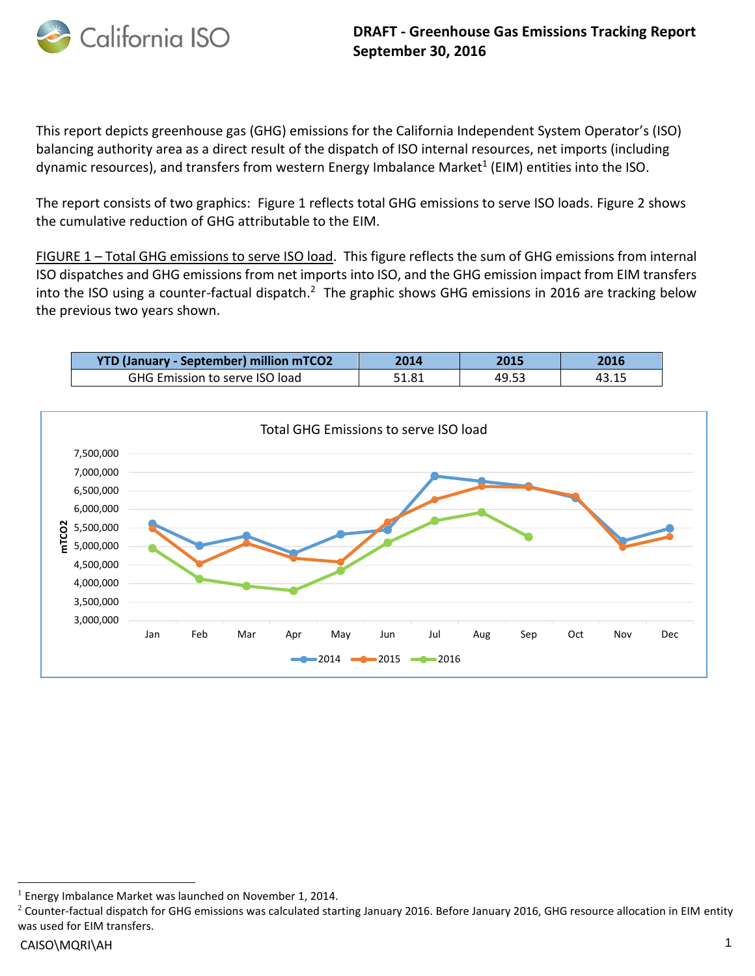

This report depicts greenhouse gas (GHG) emissions for the California Independent System Operator's (ISO) balancing authority area as a direct result of the dispatch of ISO internal resources, net imports (including dynamic resources), and transfers from western Energy Imbalance Market<sup>1</sup> (EIM) entities into the ISO.

The report consists of two graphics: Figure 1 reflects total GHG emissions to serve ISO loads. Figure 2 shows the cumulative reduction of GHG attributable to the EIM.

FIGURE 1 – Total GHG emissions to serve ISO load. This figure reflects the sum of GHG emissions from internal ISO dispatches and GHG emissions from net imports into ISO, and the GHG emission impact from EIM transfers into the ISO using a counter-factual dispatch.<sup>2</sup> The graphic shows GHG emissions in 2016 are tracking below the previous two years shown.

| <b>YTD (January - September) million mTCO2</b> |       | 2015  |  |
|------------------------------------------------|-------|-------|--|
| <b>GHG Emission to serve ISO load</b>          | 51.81 | 49.53 |  |



l

<sup>&</sup>lt;sup>1</sup> Energy Imbalance Market was launched on November 1, 2014.

 $2$  Counter-factual dispatch for GHG emissions was calculated starting January 2016. Before January 2016, GHG resource allocation in EIM entity was used for EIM transfers.